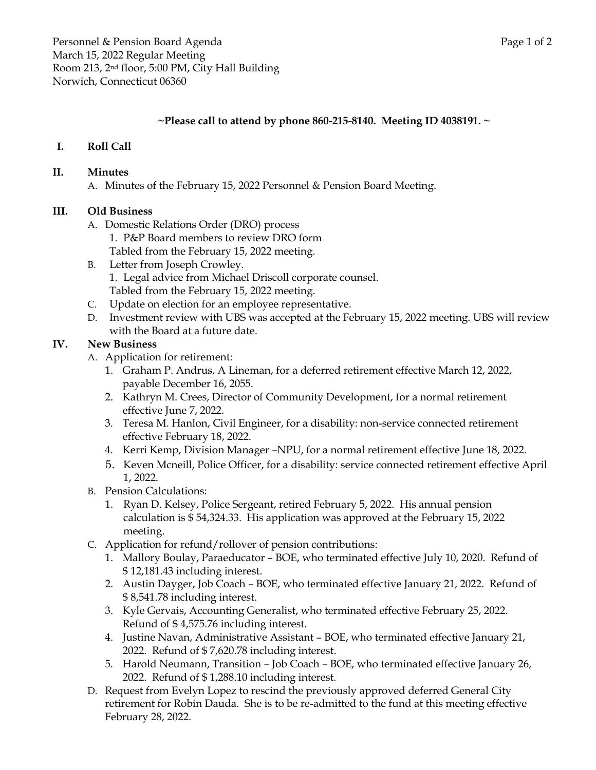## **~Please call to attend by phone 860-215-8140. Meeting ID 4038191. ~**

## **I. Roll Call**

#### **II. Minutes**

A. Minutes of the February 15, 2022 Personnel & Pension Board Meeting.

#### **III. Old Business**

- A. Domestic Relations Order (DRO) process
	- 1. P&P Board members to review DRO form
	- Tabled from the February 15, 2022 meeting.
- B. Letter from Joseph Crowley. 1. Legal advice from Michael Driscoll corporate counsel. Tabled from the February 15, 2022 meeting.
- C. Update on election for an employee representative.
- D. Investment review with UBS was accepted at the February 15, 2022 meeting. UBS will review with the Board at a future date.

### **IV. New Business**

- A. Application for retirement:
	- 1. Graham P. Andrus, A Lineman, for a deferred retirement effective March 12, 2022, payable December 16, 2055.
	- 2. Kathryn M. Crees, Director of Community Development, for a normal retirement effective June 7, 2022.
	- 3. Teresa M. Hanlon, Civil Engineer, for a disability: non-service connected retirement effective February 18, 2022.
	- 4. Kerri Kemp, Division Manager –NPU, for a normal retirement effective June 18, 2022.
	- 5. Keven Mcneill, Police Officer, for a disability: service connected retirement effective April 1, 2022.
- B. Pension Calculations:
	- 1. Ryan D. Kelsey, Police Sergeant, retired February 5, 2022. His annual pension calculation is \$ 54,324.33. His application was approved at the February 15, 2022 meeting.
- C. Application for refund/rollover of pension contributions:
	- 1. Mallory Boulay, Paraeducator BOE, who terminated effective July 10, 2020. Refund of \$ 12,181.43 including interest.
	- 2. Austin Dayger, Job Coach BOE, who terminated effective January 21, 2022. Refund of \$ 8,541.78 including interest.
	- 3. Kyle Gervais, Accounting Generalist, who terminated effective February 25, 2022. Refund of \$ 4,575.76 including interest.
	- 4. Justine Navan, Administrative Assistant BOE, who terminated effective January 21, 2022. Refund of \$ 7,620.78 including interest.
	- 5. Harold Neumann, Transition Job Coach BOE, who terminated effective January 26, 2022. Refund of \$ 1,288.10 including interest.
- D. Request from Evelyn Lopez to rescind the previously approved deferred General City retirement for Robin Dauda. She is to be re-admitted to the fund at this meeting effective February 28, 2022.